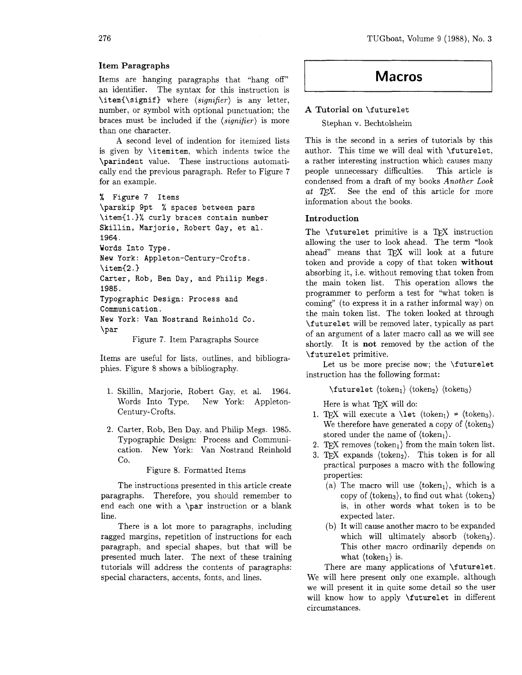### Item Paragraphs

Items are hanging paragraphs that "hang off" an identifier. The syntax for this instruction is **\itemC\signif)** where (signifier) is any letter, number, or symbol with optional punctuation; the braces must be included if the  $\langle significant\rangle$  is more than one character.

A second level of indention for itemized lists is given by **\itemitem,** which indents twice the **\par indent** value. These instructions automatically end the previous paragraph. Refer to Figure 7 for an example.

```
% Figure 7 Items
```
**\parskip 9pt** % **spaces between pars \item(l** . **1% curly braces contain number Skillin, Marjorie, Robert Gay, et al. 1964. Words Into Type. Mew York: Appleton-Century-Crofts. \item(2.1 Carter, Rob, Ben Day, and Philip Megs. 1985. Typographic Design: Process and Communication. New York: Van Nostrand Reinhold Co. \par** 

Figure 7. Item Paragraphs Source

Items are useful for lists, outlines, and bibliographies. Figure 8 shows a bibliography.

- 1. Skillin, Marjorie, Robert Gay, et al. 1964. Words Into Type. New York: Appleton-Century-Crofts.
- Carter, Rob, Ben Day, and Philip Megs. 1985. Typographic Design: Process and Communication. New York: Van Nostrand Reinhold Co.

Figure 8. Formatted Items

The instructions presented in this article create paragraphs. Therefore, you should remember to end each one with a **\par** instruction or a blank line.

There is a lot more to paragraphs, including ragged margins, repetition of instructions for each paragraph, and special shapes, but that will be presented much later. The next of these training tutorials will address the contents of paragraphs: special characters, accents, fonts, and lines.

# **Macros**

## **A** Tutorial on **\futurelet**

Stephan v. Bechtolsheim

This is the second in a series of tutorials by this author. This time we will deal with **\futurelet,**  a rather interesting instruction which causes many people unnecessary difficulties. This article is condensed from a draft of my books Another Look at  $T \not\vdash X$ . See the end of this article for more information about the books.

#### Introduction

The **\futurelet** primitive is a TFX instruction allowing the user to look ahead. The term "look ahead" means that TFX will look at a future token and provide a copy of that token without absorbing it, i.e. without removing that token from the main token list. This operation allows the programmer to perform a test for "what token is coming" (to express it in a rather informal way) on the main token list. The token looked at through **\futurelet** will be removed later, typically as part of an argument of a later macro call as we will see shortly. It is not removed by the action of the **\f uturelet** primitive.

Let us be more precise now; the **\futurelet**  instruction has the following format:

 $\text{futurelet } \langle \text{token}_1 \rangle \langle \text{token}_2 \rangle \langle \text{token}_3 \rangle$ 

Here is what TEX will do:

- 1. TFX will execute a  $\text{let } \langle \text{token}_1 \rangle = \langle \text{token}_3 \rangle$ . We therefore have generated a copy of  $\langle \text{token}_3 \rangle$ stored under the name of  $\langle \text{token}_1 \rangle$ .
- 2. TFX removes  $\langle \text{token}_1 \rangle$  from the main token list.
- 3. TFX expands (token<sub>2</sub>). This token is for all practical purposes a macro with the following properties:
	- (a) The macro will use  $\langle \text{token}_1 \rangle$ , which is a copy of  $\langle \text{token}_3 \rangle$ , to find out what  $\langle \text{token}_3 \rangle$ is, in other words what token is to be expected later.
	- (b) It will cause another macro to be expanded which will ultimately absorb  $\langle \text{token}_3 \rangle$ . This other macro ordinarily depends on what  $\langle \text{token}_1 \rangle$  is.

There are many applications of **\futurelet.**  We will here present only one example, although we will present it in quite some detail so the user will know how to apply **\futurelet** in different circumstances.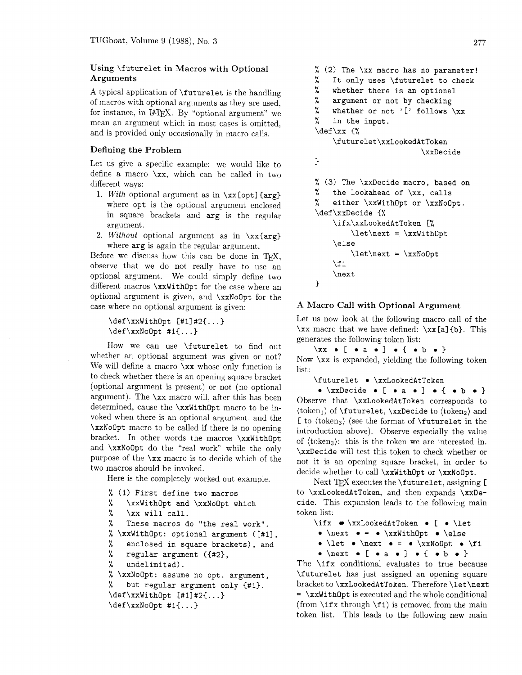# **Using** \futurelet **in Macros with Optional Arguments**

A typical application of \futurelet is the handling of macros with optional arguments as they are used, for instance, in IATFX. By "optional argument" we mean an argument which in most cases is omitted, and is provided only occasionally in macro calls.

## **Defining the Problem**

Let us give a specific example: we would like to define a macro  $\x$ , which can be called in two different ways:

- 1. With optional argument as in  $\x x$  [opt] {arg} where opt is the optional argument enclosed in square brackets and arg is the regular argument.
- 2. Without optional argument as in  $\xx\{arg\}$ where  $\arg$  is again the regular argument.

Before we discuss how this can be done in TFX. observe that we do not really have to use an optional argument. We could simply define two different macros \xxWithOpt for the case where an optional argument is given, and \xxNoOpt for the case where no optional argument is given:

```
\def\xxWith0pt [#1]#2{...}
\def\xxNolpt #1{...}
```
How we can use \futurelet to find out whether an optional argument was given or not? We will define a macro  $\x$ x whose only function is to check whether there is an opening square bracket (optional argument is present) or not (no optional argument). The \xx macro will, after this has been determined, cause the \xxWithOpt macro to be invoked when there is an optional argument, and the \xxNoOpt macro to be called if there is no opening bracket. In other words the macros \xxWithOpt and  $\xxN$ oOpt do the "real work" while the only purpose of the \xx macro is to decide which of the two macros should be invoked.

Here is the completely worked out example.

```
% (1) First define two macros<br>% \xxWithOpt and \xxNoOpt w
     \xxWithOpt and \xxNoOpt which
\frac{1}{2} \xx will call.
% These macros do "the real work". 
% \xWithOpt: optional argument ([#1],<br>% enclosed in square brackets), and
% enclosed in square brackets), and<br>% regular argument (f#2).
     regular argument ({#2},
% undelimited) . 
% \xxNoOpt : assume no opt. argument, 
% but regular argument only {#I). 
\def \xxWithOpt [ #1] #2{...}\def\xxNoOpt #I{ ...)
```

```
% (2) The \xx macro has no parameter! 
% It only uses \futurelet to check 
% whether there is an optional 
% argument or not by checking 
% whether or not ' [' follows \chix in the input.
    in the input.
\def\xx C% 
    \futurelet\xxLookedAtToken 
                          \xxDecide 
1 
% (3) The \xxDecide macro, based on 
% the lookahead of \xx, calls 
% either \xxWithOpt or \xxNoOpt . 
\def\xxDecide <% 
    \if x\xxLookedAtToken [% 
         \let\next = \xxWithOpt 
    \else 
         \let\nextrowleft~= \txxNoo\sqrt{fi}\next 
1
```
# **A Macro Call with Optional Argument**

Let us now look at the following macro call of the  $\x$  macro that we have defined:  $\xx[a]$  (b). This generates the following token list:

```
\chix e [ e a e ] e { e b e }
Now \x is expanded, yielding the following token
list:
```
#### \futurelet • \xxLookedAtToken

 $\bullet$  \xxDecide  $\bullet$  [  $\bullet$  a  $\bullet$  ]  $\bullet$  {  $\bullet$  b  $\bullet$  } Observe that \xxLookedAtToken corresponds to  $\langle \text{token}_1 \rangle$  of  $\text{futurelet}, \x \rangle$  and  $\langle \text{token}_2 \rangle$  and  $\lceil$  to  $\langle$  token<sub>3</sub> $\rangle$  (see the format of  $\langle$  futurelet in the introduction above). Observe especially the value of  $\langle \text{token}_3 \rangle$ : this is the token we are interested in. \xxDecide will test this token to check whether or not it is an opening square bracket, in order to decide whether to call \xxWithOpt or \xxNoOpt.

Next TFX executes the  $\$ futurelet, assigning [ to \xxLookedAtToken, and then expands \xxDecide. This expansion leads to the following main token list:

\ifx  $\bullet$  \xxLookedAtToken  $\bullet$  [  $\bullet$  \let

- $\bullet$  \next  $\bullet$  =  $\bullet$  \xxWithOpt  $\bullet$  \else
- $\bullet \let \bullet \next`{next} \bullet = \blacklozenge \xxNoOpt \bullet \tfi$

 $\bullet$  \next  $\bullet$  [  $\bullet$  a  $\bullet$  ]  $\bullet$  {  $\bullet$  b  $\bullet$  } The \ifx conditional evaluates to true because \futurelet has just assigned an opening square bracket to \xxLookedAtToken. Therefore \let\next  $= \xx\text{Without}$  is executed and the whole conditional (from  $\iota$ ifx through  $\iota$  is removed from the main token list. This leads to the following new main